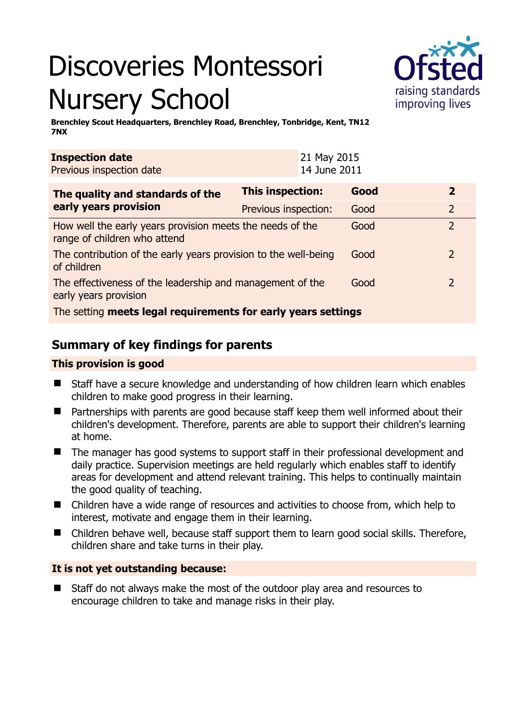# Discoveries Montessori Nursery School



**Brenchley Scout Headquarters, Brenchley Road, Brenchley, Tonbridge, Kent, TN12 7NX** 

| <b>Inspection date</b><br>Previous inspection date                                        | 21 May 2015<br>14 June 2011 |      |                |  |
|-------------------------------------------------------------------------------------------|-----------------------------|------|----------------|--|
| The quality and standards of the<br>early years provision                                 | <b>This inspection:</b>     | Good | $\overline{2}$ |  |
|                                                                                           | Previous inspection:        | Good | $\overline{2}$ |  |
| How well the early years provision meets the needs of the<br>range of children who attend |                             | Good | $\overline{2}$ |  |
| The contribution of the early years provision to the well-being<br>of children            |                             | Good | $\overline{2}$ |  |
| The effectiveness of the leadership and management of the<br>early years provision        |                             | Good | $\overline{2}$ |  |
| The setting meets legal requirements for early years settings                             |                             |      |                |  |

# **Summary of key findings for parents**

### **This provision is good**

- Staff have a secure knowledge and understanding of how children learn which enables children to make good progress in their learning.
- Partnerships with parents are good because staff keep them well informed about their children's development. Therefore, parents are able to support their children's learning at home.
- The manager has good systems to support staff in their professional development and daily practice. Supervision meetings are held regularly which enables staff to identify areas for development and attend relevant training. This helps to continually maintain the good quality of teaching.
- Children have a wide range of resources and activities to choose from, which help to interest, motivate and engage them in their learning.
- Children behave well, because staff support them to learn good social skills. Therefore, children share and take turns in their play.

## **It is not yet outstanding because:**

■ Staff do not always make the most of the outdoor play area and resources to encourage children to take and manage risks in their play.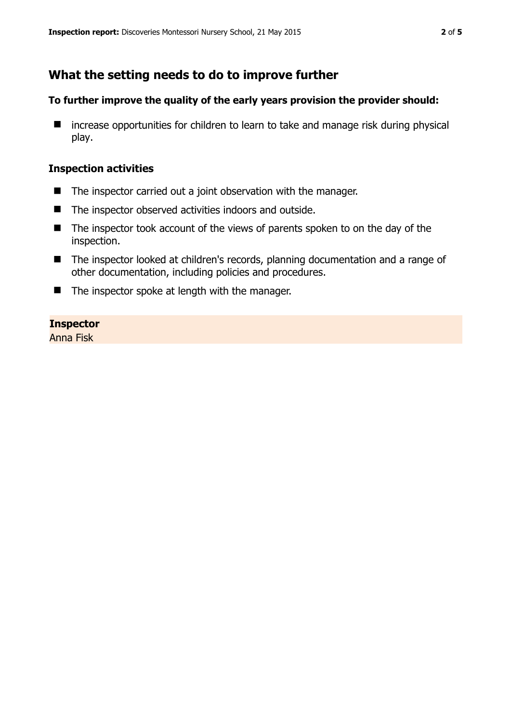# **What the setting needs to do to improve further**

#### **To further improve the quality of the early years provision the provider should:**

■ increase opportunities for children to learn to take and manage risk during physical play.

#### **Inspection activities**

- The inspector carried out a joint observation with the manager.
- The inspector observed activities indoors and outside.
- The inspector took account of the views of parents spoken to on the day of the inspection.
- The inspector looked at children's records, planning documentation and a range of other documentation, including policies and procedures.
- $\blacksquare$  The inspector spoke at length with the manager.

#### **Inspector**

Anna Fisk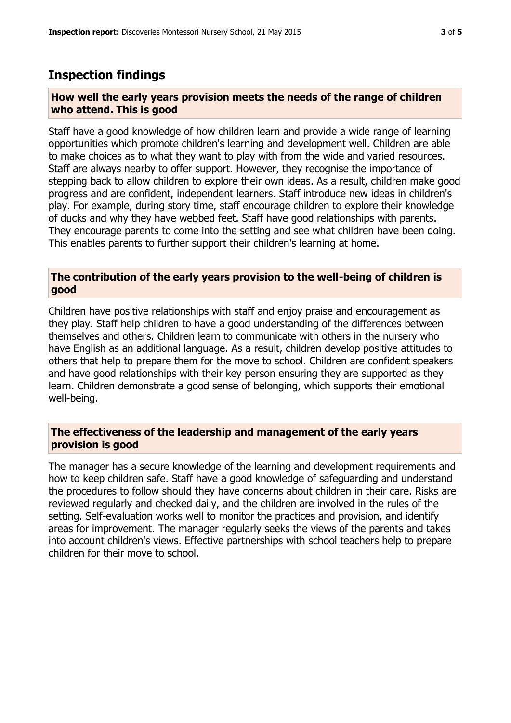### **Inspection findings**

#### **How well the early years provision meets the needs of the range of children who attend. This is good**

Staff have a good knowledge of how children learn and provide a wide range of learning opportunities which promote children's learning and development well. Children are able to make choices as to what they want to play with from the wide and varied resources. Staff are always nearby to offer support. However, they recognise the importance of stepping back to allow children to explore their own ideas. As a result, children make good progress and are confident, independent learners. Staff introduce new ideas in children's play. For example, during story time, staff encourage children to explore their knowledge of ducks and why they have webbed feet. Staff have good relationships with parents. They encourage parents to come into the setting and see what children have been doing. This enables parents to further support their children's learning at home.

#### **The contribution of the early years provision to the well-being of children is good**

Children have positive relationships with staff and enjoy praise and encouragement as they play. Staff help children to have a good understanding of the differences between themselves and others. Children learn to communicate with others in the nursery who have English as an additional language. As a result, children develop positive attitudes to others that help to prepare them for the move to school. Children are confident speakers and have good relationships with their key person ensuring they are supported as they learn. Children demonstrate a good sense of belonging, which supports their emotional well-being.

#### **The effectiveness of the leadership and management of the early years provision is good**

The manager has a secure knowledge of the learning and development requirements and how to keep children safe. Staff have a good knowledge of safeguarding and understand the procedures to follow should they have concerns about children in their care. Risks are reviewed regularly and checked daily, and the children are involved in the rules of the setting. Self-evaluation works well to monitor the practices and provision, and identify areas for improvement. The manager regularly seeks the views of the parents and takes into account children's views. Effective partnerships with school teachers help to prepare children for their move to school.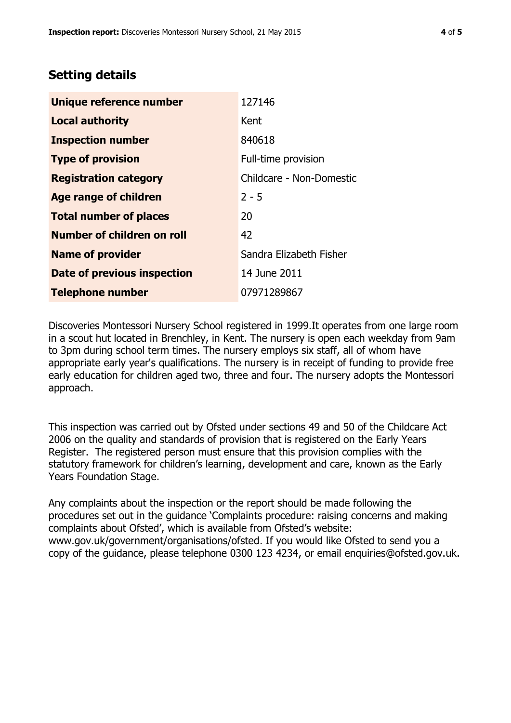# **Setting details**

| Unique reference number            | 127146                   |
|------------------------------------|--------------------------|
| <b>Local authority</b>             | Kent                     |
| <b>Inspection number</b>           | 840618                   |
| <b>Type of provision</b>           | Full-time provision      |
| <b>Registration category</b>       | Childcare - Non-Domestic |
| Age range of children              | $2 - 5$                  |
| <b>Total number of places</b>      | 20                       |
| Number of children on roll         | 42                       |
| <b>Name of provider</b>            | Sandra Elizabeth Fisher  |
| <b>Date of previous inspection</b> | 14 June 2011             |
| <b>Telephone number</b>            | 07971289867              |

Discoveries Montessori Nursery School registered in 1999.It operates from one large room in a scout hut located in Brenchley, in Kent. The nursery is open each weekday from 9am to 3pm during school term times. The nursery employs six staff, all of whom have appropriate early year's qualifications. The nursery is in receipt of funding to provide free early education for children aged two, three and four. The nursery adopts the Montessori approach.

This inspection was carried out by Ofsted under sections 49 and 50 of the Childcare Act 2006 on the quality and standards of provision that is registered on the Early Years Register. The registered person must ensure that this provision complies with the statutory framework for children's learning, development and care, known as the Early Years Foundation Stage.

Any complaints about the inspection or the report should be made following the procedures set out in the guidance 'Complaints procedure: raising concerns and making complaints about Ofsted', which is available from Ofsted's website: www.gov.uk/government/organisations/ofsted. If you would like Ofsted to send you a copy of the guidance, please telephone 0300 123 4234, or email enquiries@ofsted.gov.uk.